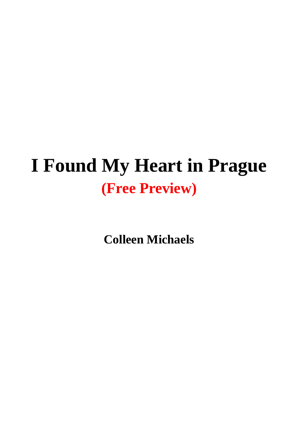## **I Found My Heart in Prague (Free Preview)**

**Colleen Michaels**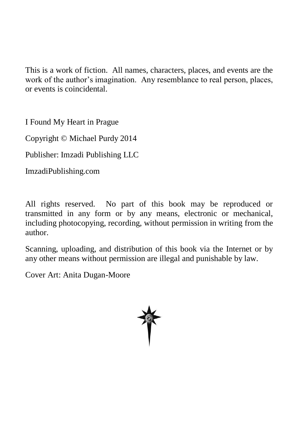This is a work of fiction. All names, characters, places, and events are the work of the author's imagination. Any resemblance to real person, places, or events is coincidental.

I Found My Heart in Prague

Copyright © Michael Purdy 2014

Publisher: Imzadi Publishing LLC

ImzadiPublishing.com

All rights reserved. No part of this book may be reproduced or transmitted in any form or by any means, electronic or mechanical, including photocopying, recording, without permission in writing from the author.

Scanning, uploading, and distribution of this book via the Internet or by any other means without permission are illegal and punishable by law.

Cover Art: Anita Dugan-Moore

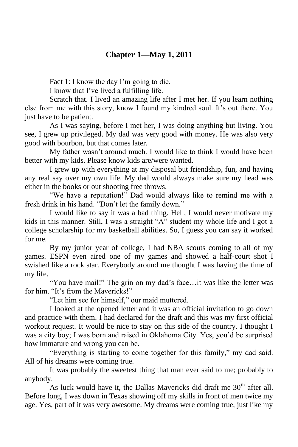## **Chapter 1—May 1, 2011**

Fact 1: I know the day I'm going to die.

I know that I've lived a fulfilling life.

Scratch that. I lived an amazing life after I met her. If you learn nothing else from me with this story, know I found my kindred soul. It's out there. You just have to be patient.

As I was saying, before I met her, I was doing anything but living. You see, I grew up privileged. My dad was very good with money. He was also very good with bourbon, but that comes later.

My father wasn't around much. I would like to think I would have been better with my kids. Please know kids are/were wanted.

I grew up with everything at my disposal but friendship, fun, and having any real say over my own life. My dad would always make sure my head was either in the books or out shooting free throws.

"We have a reputation!" Dad would always like to remind me with a fresh drink in his hand. "Don't let the family down."

I would like to say it was a bad thing. Hell, I would never motivate my kids in this manner. Still, I was a straight "A" student my whole life and I got a college scholarship for my basketball abilities. So, I guess you can say it worked for me.

By my junior year of college, I had NBA scouts coming to all of my games. ESPN even aired one of my games and showed a half-court shot I swished like a rock star. Everybody around me thought I was having the time of my life.

"You have mail!" The grin on my dad's face…it was like the letter was for him. "It's from the Mavericks!"

"Let him see for himself," our maid muttered.

I looked at the opened letter and it was an official invitation to go down and practice with them. I had declared for the draft and this was my first official workout request. It would be nice to stay on this side of the country. I thought I was a city boy; I was born and raised in Oklahoma City. Yes, you'd be surprised how immature and wrong you can be.

"Everything is starting to come together for this family," my dad said. All of his dreams were coming true.

It was probably the sweetest thing that man ever said to me; probably to anybody.

As luck would have it, the Dallas Mavericks did draft me  $30<sup>th</sup>$  after all. Before long, I was down in Texas showing off my skills in front of men twice my age. Yes, part of it was very awesome. My dreams were coming true, just like my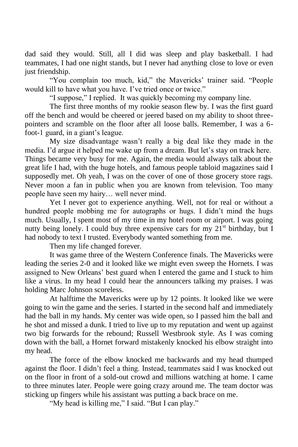dad said they would. Still, all I did was sleep and play basketball. I had teammates, I had one night stands, but I never had anything close to love or even just friendship.

"You complain too much, kid," the Mavericks' trainer said. "People would kill to have what you have. I've tried once or twice."

"I suppose," I replied. It was quickly becoming my company line.

The first three months of my rookie season flew by. I was the first guard off the bench and would be cheered or jeered based on my ability to shoot threepointers and scramble on the floor after all loose balls. Remember, I was a 6 foot-1 guard, in a giant's league.

My size disadvantage wasn't really a big deal like they made in the media. I'd argue it helped me wake up from a dream. But let's stay on track here. Things became very busy for me. Again, the media would always talk about the great life I had, with the huge hotels, and famous people tabloid magazines said I supposedly met. Oh yeah, I was on the cover of one of those grocery store rags. Never moon a fan in public when you are known from television. Too many people have seen my hairy… well never mind.

Yet I never got to experience anything. Well, not for real or without a hundred people mobbing me for autographs or hugs. I didn't mind the hugs much. Usually, I spent most of my time in my hotel room or airport. I was going nutty being lonely. I could buy three expensive cars for my  $21^{st}$  birthday, but I had nobody to text I trusted. Everybody wanted something from me.

Then my life changed forever.

It was game three of the Western Conference finals. The Mavericks were leading the series 2-0 and it looked like we might even sweep the Hornets. I was assigned to New Orleans' best guard when I entered the game and I stuck to him like a virus. In my head I could hear the announcers talking my praises. I was holding Marc Johnson scoreless.

At halftime the Mavericks were up by 12 points. It looked like we were going to win the game and the series. I started in the second half and immediately had the ball in my hands. My center was wide open, so I passed him the ball and he shot and missed a dunk. I tried to live up to my reputation and went up against two big forwards for the rebound; Russell Westbrook style. As I was coming down with the ball, a Hornet forward mistakenly knocked his elbow straight into my head.

The force of the elbow knocked me backwards and my head thumped against the floor. I didn't feel a thing. Instead, teammates said I was knocked out on the floor in front of a sold-out crowd and millions watching at home. I came to three minutes later. People were going crazy around me. The team doctor was sticking up fingers while his assistant was putting a back brace on me.

"My head is killing me," I said. "But I can play."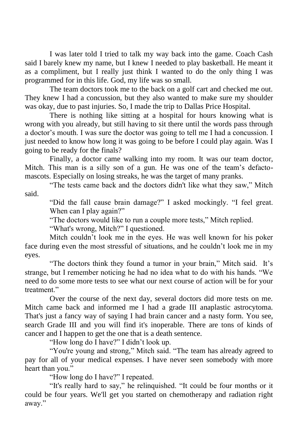I was later told I tried to talk my way back into the game. Coach Cash said I barely knew my name, but I knew I needed to play basketball. He meant it as a compliment, but I really just think I wanted to do the only thing I was programmed for in this life. God, my life was so small.

The team doctors took me to the back on a golf cart and checked me out. They knew I had a concussion, but they also wanted to make sure my shoulder was okay, due to past injuries. So, I made the trip to Dallas Price Hospital.

There is nothing like sitting at a hospital for hours knowing what is wrong with you already, but still having to sit there until the words pass through a doctor's mouth. I was sure the doctor was going to tell me I had a concussion. I just needed to know how long it was going to be before I could play again. Was I going to be ready for the finals?

Finally, a doctor came walking into my room. It was our team doctor, Mitch. This man is a silly son of a gun. He was one of the team's defactomascots. Especially on losing streaks, he was the target of many pranks.

"The tests came back and the doctors didn't like what they saw," Mitch said.

"Did the fall cause brain damage?" I asked mockingly. "I feel great. When can I play again?"

"The doctors would like to run a couple more tests," Mitch replied.

"What's wrong, Mitch?" I questioned.

Mitch couldn't look me in the eyes. He was well known for his poker face during even the most stressful of situations, and he couldn't look me in my eyes.

"The doctors think they found a tumor in your brain," Mitch said. It's strange, but I remember noticing he had no idea what to do with his hands. "We need to do some more tests to see what our next course of action will be for your treatment."

Over the course of the next day, several doctors did more tests on me. Mitch came back and informed me I had a grade III anaplastic astrocytoma. That's just a fancy way of saying I had brain cancer and a nasty form. You see, search Grade III and you will find it's inoperable. There are tons of kinds of cancer and I happen to get the one that is a death sentence.

"How long do I have?" I didn't look up.

"You're young and strong," Mitch said. "The team has already agreed to pay for all of your medical expenses. I have never seen somebody with more heart than you."

"How long do I have?" I repeated.

"It's really hard to say," he relinquished. "It could be four months or it could be four years. We'll get you started on chemotherapy and radiation right away."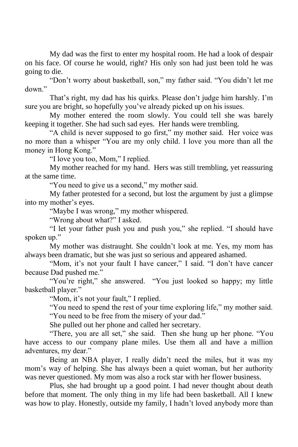My dad was the first to enter my hospital room. He had a look of despair on his face. Of course he would, right? His only son had just been told he was going to die.

"Don't worry about basketball, son," my father said. "You didn't let me down."

That's right, my dad has his quirks. Please don't judge him harshly. I'm sure you are bright, so hopefully you've already picked up on his issues.

My mother entered the room slowly. You could tell she was barely keeping it together. She had such sad eyes. Her hands were trembling.

"A child is never supposed to go first," my mother said. Her voice was no more than a whisper "You are my only child. I love you more than all the money in Hong Kong."

"I love you too, Mom," I replied.

My mother reached for my hand. Hers was still trembling, yet reassuring at the same time.

"You need to give us a second," my mother said.

My father protested for a second, but lost the argument by just a glimpse into my mother's eyes.

"Maybe I was wrong," my mother whispered.

"Wrong about what?" I asked.

"I let your father push you and push you," she replied. "I should have spoken up."

My mother was distraught. She couldn't look at me. Yes, my mom has always been dramatic, but she was just so serious and appeared ashamed.

"Mom, it's not your fault I have cancer," I said. "I don't have cancer because Dad pushed me."

"You're right," she answered. "You just looked so happy; my little basketball player."

"Mom, it's not your fault," I replied.

"You need to spend the rest of your time exploring life," my mother said.

"You need to be free from the misery of your dad."

She pulled out her phone and called her secretary.

"There, you are all set," she said. Then she hung up her phone. "You have access to our company plane miles. Use them all and have a million adventures, my dear."

Being an NBA player, I really didn't need the miles, but it was my mom's way of helping. She has always been a quiet woman, but her authority was never questioned. My mom was also a rock star with her flower business.

Plus, she had brought up a good point. I had never thought about death before that moment. The only thing in my life had been basketball. All I knew was how to play. Honestly, outside my family, I hadn't loved anybody more than